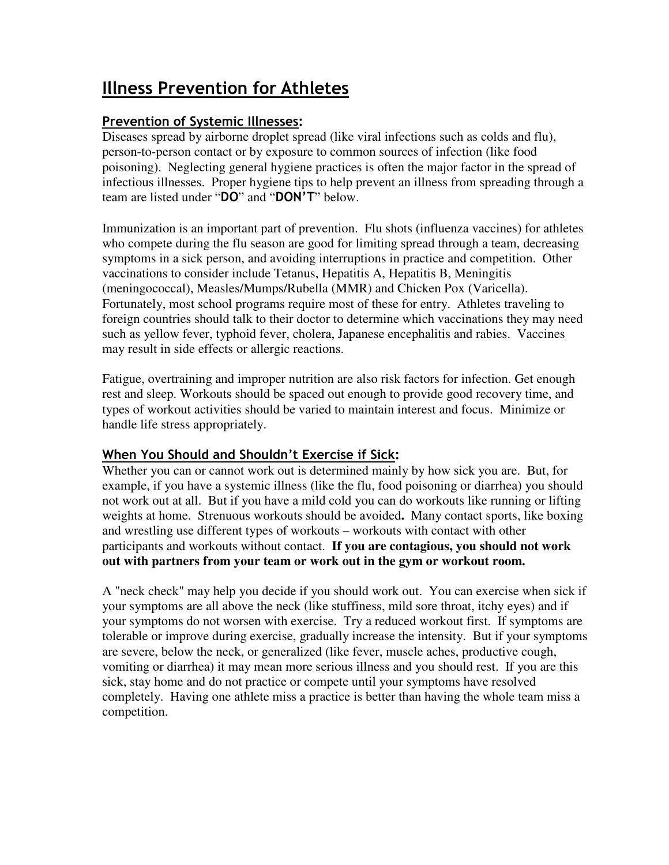# **Illness Prevention for Athletes**

## **Prevention of Systemic Illnesses:**

Diseases spread by airborne droplet spread (like viral infections such as colds and flu), person-to-person contact or by exposure to common sources of infection (like food poisoning). Neglecting general hygiene practices is often the major factor in the spread of infectious illnesses. Proper hygiene tips to help prevent an illness from spreading through a team are listed under "**DO**" and "**DON'T**" below.

Immunization is an important part of prevention. Flu shots (influenza vaccines) for athletes who compete during the flu season are good for limiting spread through a team, decreasing symptoms in a sick person, and avoiding interruptions in practice and competition. Other vaccinations to consider include Tetanus, Hepatitis A, Hepatitis B, Meningitis (meningococcal), Measles/Mumps/Rubella (MMR) and Chicken Pox (Varicella). Fortunately, most school programs require most of these for entry. Athletes traveling to foreign countries should talk to their doctor to determine which vaccinations they may need such as yellow fever, typhoid fever, cholera, Japanese encephalitis and rabies. Vaccines may result in side effects or allergic reactions.

Fatigue, overtraining and improper nutrition are also risk factors for infection. Get enough rest and sleep. Workouts should be spaced out enough to provide good recovery time, and types of workout activities should be varied to maintain interest and focus. Minimize or handle life stress appropriately.

## **When You Should and Shouldn't Exercise if Sick:**

Whether you can or cannot work out is determined mainly by how sick you are. But, for example, if you have a systemic illness (like the flu, food poisoning or diarrhea) you should not work out at all. But if you have a mild cold you can do workouts like running or lifting weights at home.Strenuous workouts should be avoided**.** Many contact sports, like boxing and wrestling use different types of workouts – workouts with contact with other participants and workouts without contact. **If you are contagious, you should not work out with partners from your team or work out in the gym or workout room.**

A "neck check" may help you decide if you should work out. You can exercise when sick if your symptoms are all above the neck (like stuffiness, mild sore throat, itchy eyes) and if your symptoms do not worsen with exercise. Try a reduced workout first. If symptoms are tolerable or improve during exercise, gradually increase the intensity. But if your symptoms are severe, below the neck, or generalized (like fever, muscle aches, productive cough, vomiting or diarrhea) it may mean more serious illness and you should rest. If you are this sick, stay home and do not practice or compete until your symptoms have resolved completely. Having one athlete miss a practice is better than having the whole team miss a competition.